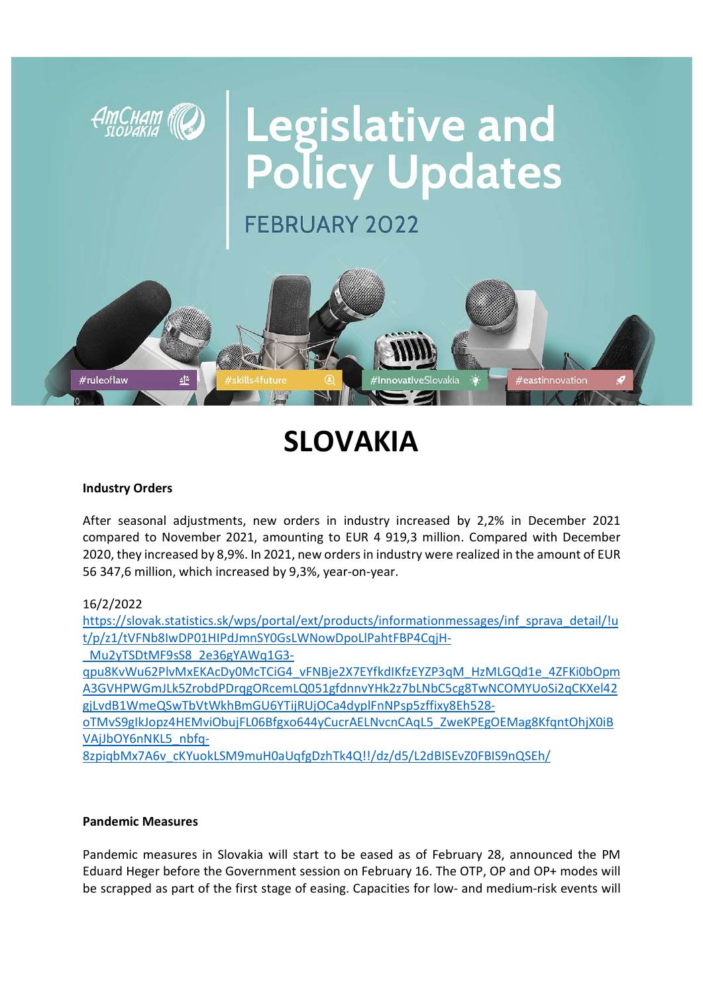

# SLOVAKIA

### Industry Orders

After seasonal adjustments, new orders in industry increased by 2,2% in December 2021 compared to November 2021, amounting to EUR 4 919,3 million. Compared with December 2020, they increased by 8,9%. In 2021, new orders in industry were realized in the amount of EUR 56 347,6 million, which increased by 9,3%, year-on-year.

## 16/2/2022

https://slovak.statistics.sk/wps/portal/ext/products/informationmessages/inf\_sprava\_detail/!u t/p/z1/tVFNb8IwDP01HIPdJmnSY0GsLWNowDpoLlPahtFBP4CqjH-

\_Mu2yTSDtMF9sS8\_2e36gYAWq1G3-

qpu8KvWu62PlvMxEKAcDy0McTCiG4\_vFNBje2X7EYfkdIKfzEYZP3qM\_HzMLGQd1e\_4ZFKi0bOpm A3GVHPWGmJLk5ZrobdPDrqgORcemLQ051gfdnnvYHk2z7bLNbC5cg8TwNCOMYUoSi2qCKXel42 gjLvdB1WmeQSwTbVtWkhBmGU6YTijRUjOCa4dyplFnNPsp5zffixy8Eh528-

oTMvS9gIkJopz4HEMviObujFL06Bfgxo644yCucrAELNvcnCAqL5\_ZweKPEgOEMag8KfqntOhjX0iB VAjJbOY6nNKL5\_nbfq-

8zpiqbMx7A6v\_cKYuokLSM9muH0aUqfgDzhTk4Q!!/dz/d5/L2dBISEvZ0FBIS9nQSEh/

### Pandemic Measures

Pandemic measures in Slovakia will start to be eased as of February 28, announced the PM Eduard Heger before the Government session on February 16. The OTP, OP and OP+ modes will be scrapped as part of the first stage of easing. Capacities for low- and medium-risk events will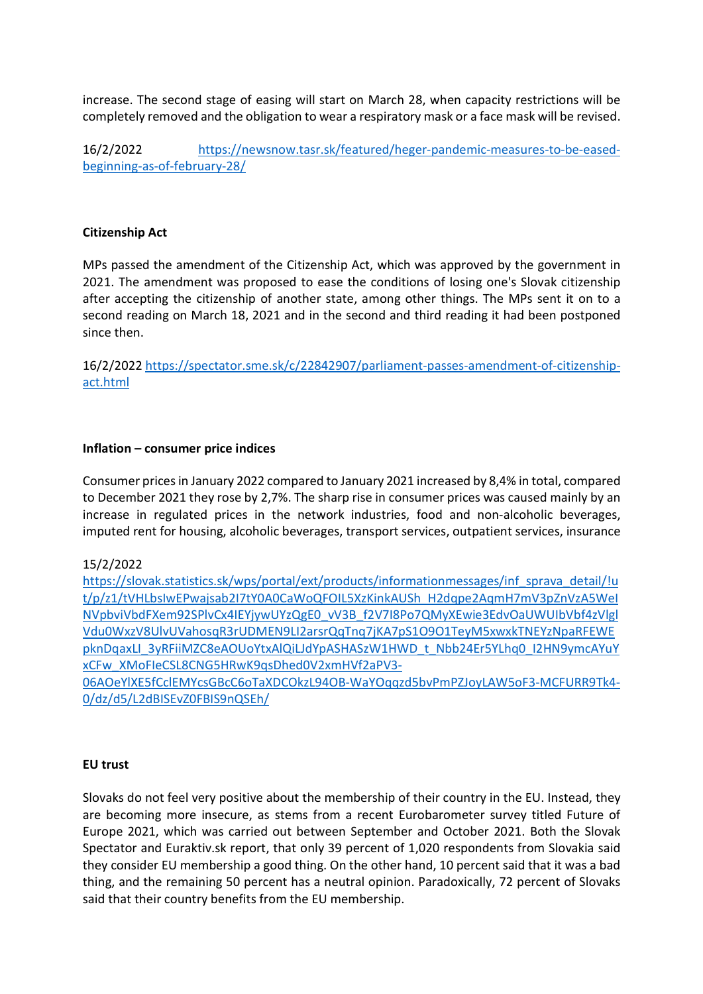increase. The second stage of easing will start on March 28, when capacity restrictions will be completely removed and the obligation to wear a respiratory mask or a face mask will be revised.

16/2/2022 https://newsnow.tasr.sk/featured/heger-pandemic-measures-to-be-easedbeginning-as-of-february-28/

### Citizenship Act

MPs passed the amendment of the Citizenship Act, which was approved by the government in 2021. The amendment was proposed to ease the conditions of losing one's Slovak citizenship after accepting the citizenship of another state, among other things. The MPs sent it on to a second reading on March 18, 2021 and in the second and third reading it had been postponed since then.

16/2/2022 https://spectator.sme.sk/c/22842907/parliament-passes-amendment-of-citizenshipact.html

### Inflation – consumer price indices

Consumer prices in January 2022 compared to January 2021 increased by 8,4% in total, compared to December 2021 they rose by 2,7%. The sharp rise in consumer prices was caused mainly by an increase in regulated prices in the network industries, food and non-alcoholic beverages, imputed rent for housing, alcoholic beverages, transport services, outpatient services, insurance

### 15/2/2022

https://slovak.statistics.sk/wps/portal/ext/products/informationmessages/inf\_sprava\_detail/!u t/p/z1/tVHLbsIwEPwajsab2I7tY0A0CaWoQFOIL5XzKinkAUSh\_H2dqpe2AqmH7mV3pZnVzA5WeI NVpbviVbdFXem92SPlvCx4IEYjywUYzQgE0\_vV3B\_f2V7I8Po7QMyXEwie3EdvOaUWUIbVbf4zVlgl Vdu0WxzV8UlvUVahosqR3rUDMEN9LI2arsrQqTnq7jKA7pS1O9O1TeyM5xwxkTNEYzNpaRFEWE pknDqaxLI\_3yRFiiMZC8eAOUoYtxAlQiLJdYpASHASzW1HWD\_t\_Nbb24Er5YLhq0\_I2HN9ymcAYuY xCFw\_XMoFIeCSL8CNG5HRwK9qsDhed0V2xmHVf2aPV3-

06AOeYlXE5fCclEMYcsGBcC6oTaXDCOkzL94OB-WaYOqqzd5bvPmPZJoyLAW5oF3-MCFURR9Tk4- 0/dz/d5/L2dBISEvZ0FBIS9nQSEh/

### EU trust

Slovaks do not feel very positive about the membership of their country in the EU. Instead, they are becoming more insecure, as stems from a recent Eurobarometer survey titled Future of Europe 2021, which was carried out between September and October 2021. Both the Slovak Spectator and Euraktiv.sk report, that only 39 percent of 1,020 respondents from Slovakia said they consider EU membership a good thing. On the other hand, 10 percent said that it was a bad thing, and the remaining 50 percent has a neutral opinion. Paradoxically, 72 percent of Slovaks said that their country benefits from the EU membership.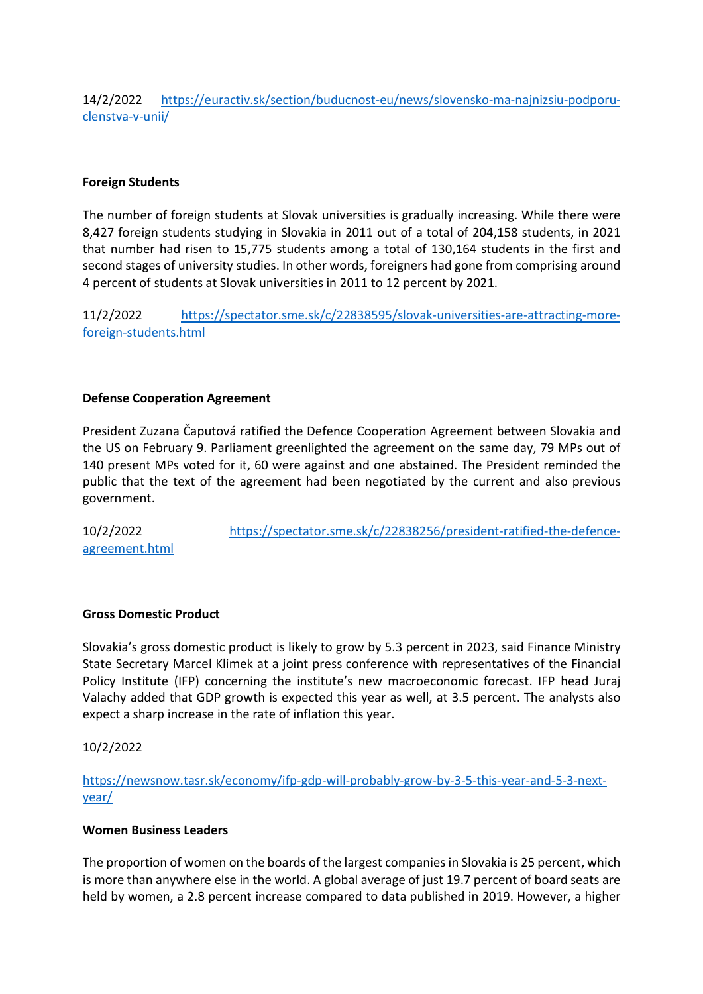14/2/2022 https://euractiv.sk/section/buducnost-eu/news/slovensko-ma-najnizsiu-podporuclenstva-v-unii/

## Foreign Students

The number of foreign students at Slovak universities is gradually increasing. While there were 8,427 foreign students studying in Slovakia in 2011 out of a total of 204,158 students, in 2021 that number had risen to 15,775 students among a total of 130,164 students in the first and second stages of university studies. In other words, foreigners had gone from comprising around 4 percent of students at Slovak universities in 2011 to 12 percent by 2021.

11/2/2022 https://spectator.sme.sk/c/22838595/slovak-universities-are-attracting-moreforeign-students.html

### Defense Cooperation Agreement

President Zuzana Čaputová ratified the Defence Cooperation Agreement between Slovakia and the US on February 9. Parliament greenlighted the agreement on the same day, 79 MPs out of 140 present MPs voted for it, 60 were against and one abstained. The President reminded the public that the text of the agreement had been negotiated by the current and also previous government.

10/2/2022 https://spectator.sme.sk/c/22838256/president-ratified-the-defenceagreement.html

## Gross Domestic Product

Slovakia's gross domestic product is likely to grow by 5.3 percent in 2023, said Finance Ministry State Secretary Marcel Klimek at a joint press conference with representatives of the Financial Policy Institute (IFP) concerning the institute's new macroeconomic forecast. IFP head Juraj Valachy added that GDP growth is expected this year as well, at 3.5 percent. The analysts also expect a sharp increase in the rate of inflation this year.

10/2/2022

https://newsnow.tasr.sk/economy/ifp-gdp-will-probably-grow-by-3-5-this-year-and-5-3-nextyear/

### Women Business Leaders

The proportion of women on the boards of the largest companies in Slovakia is 25 percent, which is more than anywhere else in the world. A global average of just 19.7 percent of board seats are held by women, a 2.8 percent increase compared to data published in 2019. However, a higher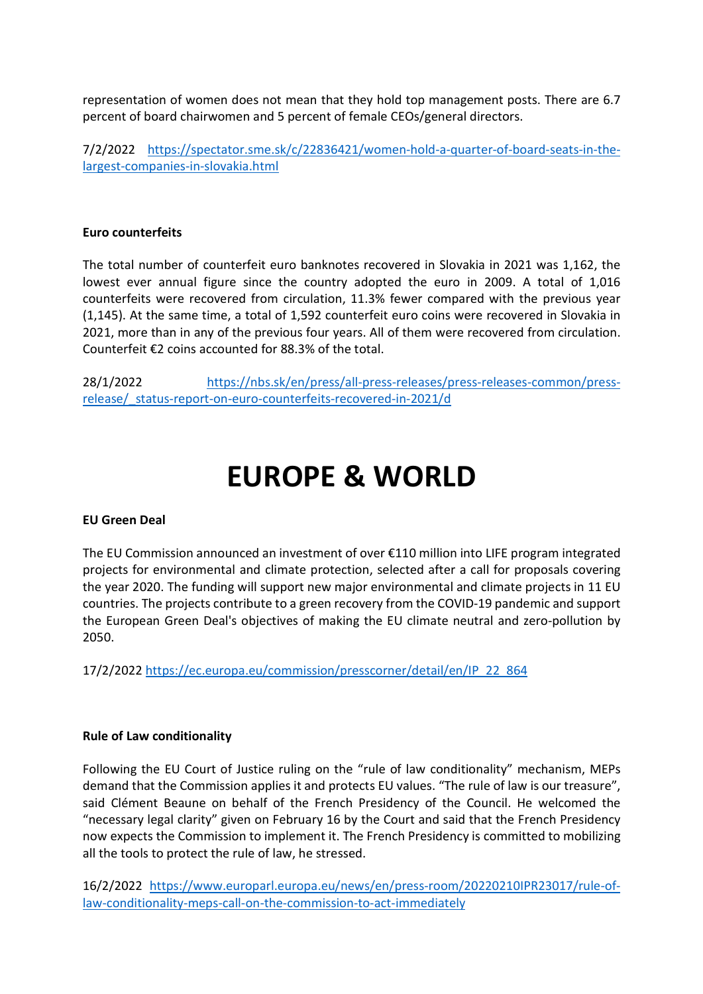representation of women does not mean that they hold top management posts. There are 6.7 percent of board chairwomen and 5 percent of female CEOs/general directors.

7/2/2022 https://spectator.sme.sk/c/22836421/women-hold-a-quarter-of-board-seats-in-thelargest-companies-in-slovakia.html

### Euro counterfeits

The total number of counterfeit euro banknotes recovered in Slovakia in 2021 was 1,162, the lowest ever annual figure since the country adopted the euro in 2009. A total of 1,016 counterfeits were recovered from circulation, 11.3% fewer compared with the previous year (1,145). At the same time, a total of 1,592 counterfeit euro coins were recovered in Slovakia in 2021, more than in any of the previous four years. All of them were recovered from circulation. Counterfeit €2 coins accounted for 88.3% of the total.

28/1/2022 https://nbs.sk/en/press/all-press-releases/press-releases-common/pressrelease/ status-report-on-euro-counterfeits-recovered-in-2021/d

## EUROPE & WORLD

### EU Green Deal

The EU Commission announced an investment of over €110 million into LIFE program integrated projects for environmental and climate protection, selected after a call for proposals covering the year 2020. The funding will support new major environmental and climate projects in 11 EU countries. The projects contribute to a green recovery from the COVID-19 pandemic and support the European Green Deal's objectives of making the EU climate neutral and zero-pollution by 2050.

17/2/2022 https://ec.europa.eu/commission/presscorner/detail/en/IP\_22\_864

### Rule of Law conditionality

Following the EU Court of Justice ruling on the "rule of law conditionality" mechanism, MEPs demand that the Commission applies it and protects EU values. "The rule of law is our treasure", said Clément Beaune on behalf of the French Presidency of the Council. He welcomed the "necessary legal clarity" given on February 16 by the Court and said that the French Presidency now expects the Commission to implement it. The French Presidency is committed to mobilizing all the tools to protect the rule of law, he stressed.

16/2/2022 https://www.europarl.europa.eu/news/en/press-room/20220210IPR23017/rule-oflaw-conditionality-meps-call-on-the-commission-to-act-immediately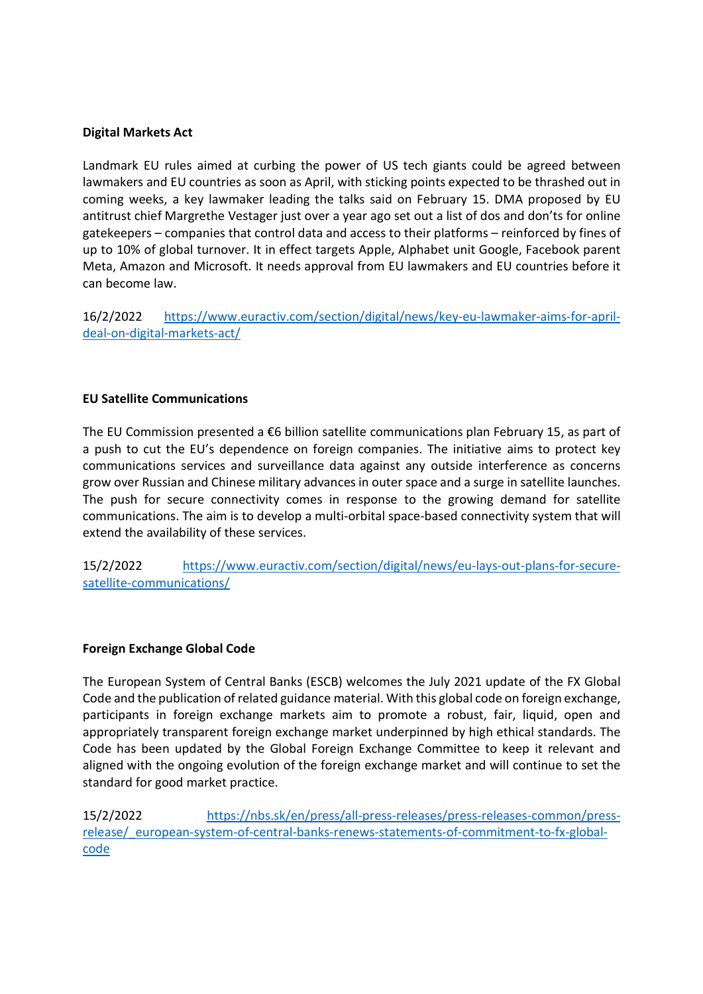### Digital Markets Act

Landmark EU rules aimed at curbing the power of US tech giants could be agreed between lawmakers and EU countries as soon as April, with sticking points expected to be thrashed out in coming weeks, a key lawmaker leading the talks said on February 15. DMA proposed by EU antitrust chief Margrethe Vestager just over a year ago set out a list of dos and don'ts for online gatekeepers – companies that control data and access to their platforms – reinforced by fines of up to 10% of global turnover. It in effect targets Apple, Alphabet unit Google, Facebook parent Meta, Amazon and Microsoft. It needs approval from EU lawmakers and EU countries before it can become law.

16/2/2022 https://www.euractiv.com/section/digital/news/key-eu-lawmaker-aims-for-aprildeal-on-digital-markets-act/

## EU Satellite Communications

The EU Commission presented a €6 billion satellite communications plan February 15, as part of a push to cut the EU's dependence on foreign companies. The initiative aims to protect key communications services and surveillance data against any outside interference as concerns grow over Russian and Chinese military advances in outer space and a surge in satellite launches. The push for secure connectivity comes in response to the growing demand for satellite communications. The aim is to develop a multi-orbital space-based connectivity system that will extend the availability of these services.

15/2/2022 https://www.euractiv.com/section/digital/news/eu-lays-out-plans-for-securesatellite-communications/

### Foreign Exchange Global Code

The European System of Central Banks (ESCB) welcomes the July 2021 update of the FX Global Code and the publication of related guidance material. With this global code on foreign exchange, participants in foreign exchange markets aim to promote a robust, fair, liquid, open and appropriately transparent foreign exchange market underpinned by high ethical standards. The Code has been updated by the Global Foreign Exchange Committee to keep it relevant and aligned with the ongoing evolution of the foreign exchange market and will continue to set the standard for good market practice.

15/2/2022 https://nbs.sk/en/press/all-press-releases/press-releases-common/pressrelease/\_european-system-of-central-banks-renews-statements-of-commitment-to-fx-globalcode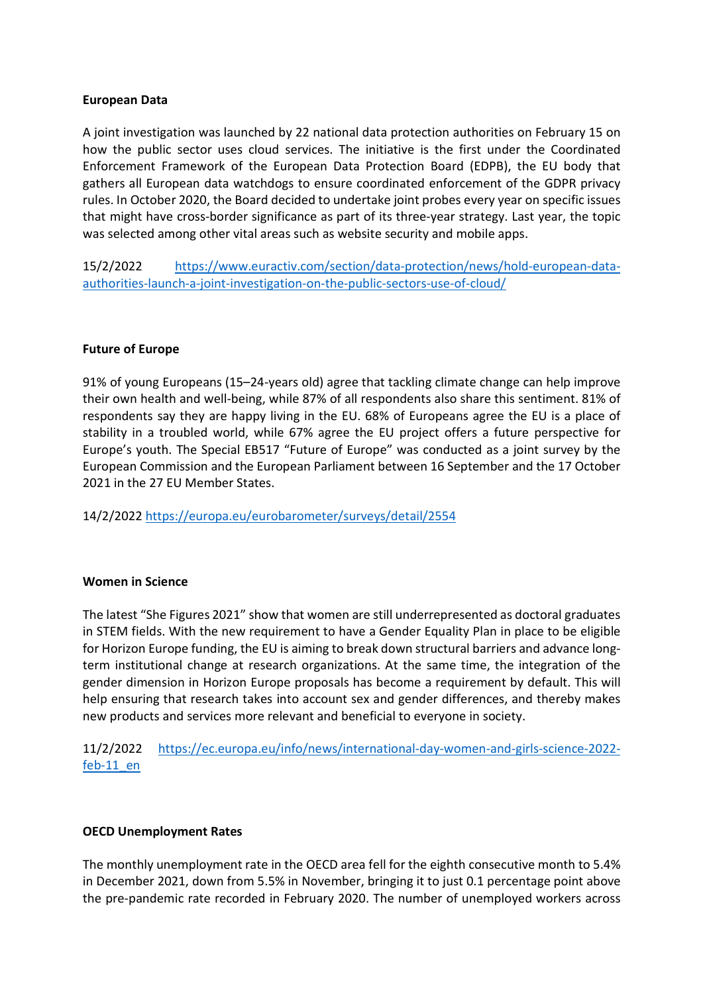### European Data

A joint investigation was launched by 22 national data protection authorities on February 15 on how the public sector uses cloud services. The initiative is the first under the Coordinated Enforcement Framework of the European Data Protection Board (EDPB), the EU body that gathers all European data watchdogs to ensure coordinated enforcement of the GDPR privacy rules. In October 2020, the Board decided to undertake joint probes every year on specific issues that might have cross-border significance as part of its three-year strategy. Last year, the topic was selected among other vital areas such as website security and mobile apps.

15/2/2022 https://www.euractiv.com/section/data-protection/news/hold-european-dataauthorities-launch-a-joint-investigation-on-the-public-sectors-use-of-cloud/

### Future of Europe

91% of young Europeans (15–24-years old) agree that tackling climate change can help improve their own health and well-being, while 87% of all respondents also share this sentiment. 81% of respondents say they are happy living in the EU. 68% of Europeans agree the EU is a place of stability in a troubled world, while 67% agree the EU project offers a future perspective for Europe's youth. The Special EB517 "Future of Europe" was conducted as a joint survey by the European Commission and the European Parliament between 16 September and the 17 October 2021 in the 27 EU Member States.

14/2/2022 https://europa.eu/eurobarometer/surveys/detail/2554

### Women in Science

The latest "She Figures 2021" show that women are still underrepresented as doctoral graduates in STEM fields. With the new requirement to have a Gender Equality Plan in place to be eligible for Horizon Europe funding, the EU is aiming to break down structural barriers and advance longterm institutional change at research organizations. At the same time, the integration of the gender dimension in Horizon Europe proposals has become a requirement by default. This will help ensuring that research takes into account sex and gender differences, and thereby makes new products and services more relevant and beneficial to everyone in society.

11/2/2022 https://ec.europa.eu/info/news/international-day-women-and-girls-science-2022 feb-11\_en

## OECD Unemployment Rates

The monthly unemployment rate in the OECD area fell for the eighth consecutive month to 5.4% in December 2021, down from 5.5% in November, bringing it to just 0.1 percentage point above the pre-pandemic rate recorded in February 2020. The number of unemployed workers across